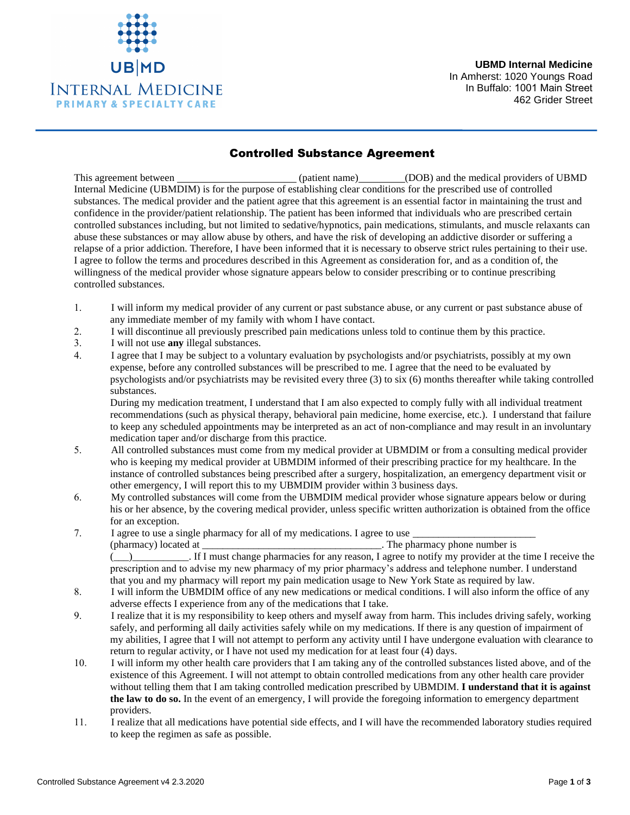

**UBMD Internal Medicine**  In Amherst: 1020 Youngs Road In Buffalo: 1001 Main Street 462 Grider Street

## Controlled Substance Agreement

This agreement between (patient name) (DOB) and the medical providers of UBMD Internal Medicine (UBMDIM) is for the purpose of establishing clear conditions for the prescribed use of controlled substances. The medical provider and the patient agree that this agreement is an essential factor in maintaining the trust and confidence in the provider/patient relationship. The patient has been informed that individuals who are prescribed certain controlled substances including, but not limited to sedative/hypnotics, pain medications, stimulants, and muscle relaxants can abuse these substances or may allow abuse by others, and have the risk of developing an addictive disorder or suffering a relapse of a prior addiction. Therefore, I have been informed that it is necessary to observe strict rules pertaining to their use. I agree to follow the terms and procedures described in this Agreement as consideration for, and as a condition of, the willingness of the medical provider whose signature appears below to consider prescribing or to continue prescribing controlled substances.

- 1. I will inform my medical provider of any current or past substance abuse, or any current or past substance abuse of any immediate member of my family with whom I have contact.
- 2. I will discontinue all previously prescribed pain medications unless told to continue them by this practice.
- 3. I will not use **any** illegal substances.
- 4. I agree that I may be subject to a voluntary evaluation by psychologists and/or psychiatrists, possibly at my own expense, before any controlled substances will be prescribed to me. I agree that the need to be evaluated by psychologists and/or psychiatrists may be revisited every three (3) to six (6) months thereafter while taking controlled substances.

During my medication treatment, I understand that I am also expected to comply fully with all individual treatment recommendations (such as physical therapy, behavioral pain medicine, home exercise, etc.). I understand that failure to keep any scheduled appointments may be interpreted as an act of non-compliance and may result in an involuntary medication taper and/or discharge from this practice.

- 5. All controlled substances must come from my medical provider at UBMDIM or from a consulting medical provider who is keeping my medical provider at UBMDIM informed of their prescribing practice for my healthcare. In the instance of controlled substances being prescribed after a surgery, hospitalization, an emergency department visit or other emergency, I will report this to my UBMDIM provider within 3 business days.
- 6. My controlled substances will come from the UBMDIM medical provider whose signature appears below or during his or her absence, by the covering medical provider, unless specific written authorization is obtained from the office for an exception.
- 7. I agree to use a single pharmacy for all of my medications. I agree to use (pharmacy) located at  $\blacksquare$  . The pharmacy phone number is

(\_\_\_)\_\_\_\_\_\_\_\_\_\_\_. If I must change pharmacies for any reason, I agree to notify my provider at the time I receive the prescription and to advise my new pharmacy of my prior pharmacy's address and telephone number. I understand that you and my pharmacy will report my pain medication usage to New York State as required by law.

- 8. I will inform the UBMDIM office of any new medications or medical conditions. I will also inform the office of any adverse effects I experience from any of the medications that I take.
- 9. I realize that it is my responsibility to keep others and myself away from harm. This includes driving safely, working safely, and performing all daily activities safely while on my medications. If there is any question of impairment of my abilities, I agree that I will not attempt to perform any activity until I have undergone evaluation with clearance to return to regular activity, or I have not used my medication for at least four (4) days.
- 10. I will inform my other health care providers that I am taking any of the controlled substances listed above, and of the existence of this Agreement. I will not attempt to obtain controlled medications from any other health care provider without telling them that I am taking controlled medication prescribed by UBMDIM. **I understand that it is against the law to do so.** In the event of an emergency, I will provide the foregoing information to emergency department providers.
- 11. I realize that all medications have potential side effects, and I will have the recommended laboratory studies required to keep the regimen as safe as possible.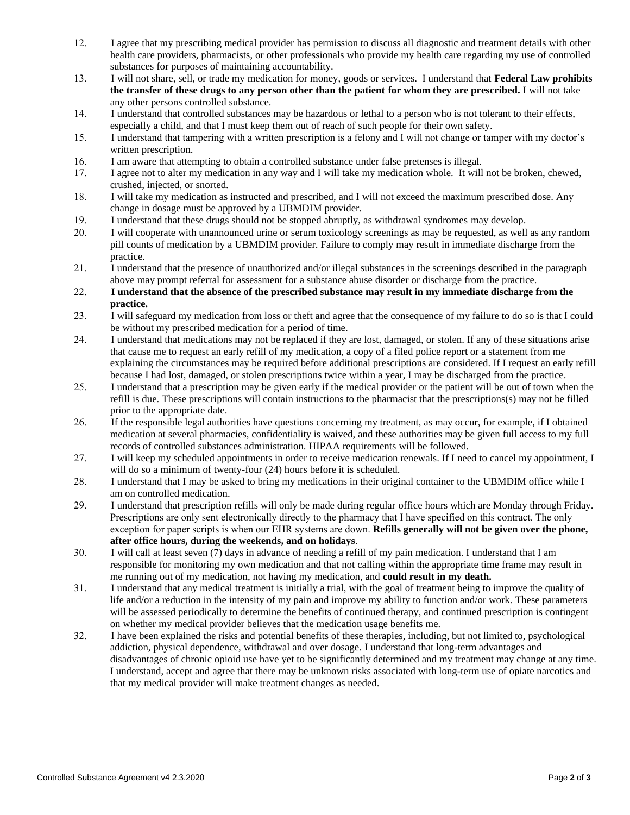- 12. I agree that my prescribing medical provider has permission to discuss all diagnostic and treatment details with other health care providers, pharmacists, or other professionals who provide my health care regarding my use of controlled substances for purposes of maintaining accountability.
- 13. I will not share, sell, or trade my medication for money, goods or services. I understand that **Federal Law prohibits the transfer of these drugs to any person other than the patient for whom they are prescribed.** I will not take any other persons controlled substance.
- 14. I understand that controlled substances may be hazardous or lethal to a person who is not tolerant to their effects, especially a child, and that I must keep them out of reach of such people for their own safety.
- 15. I understand that tampering with a written prescription is a felony and I will not change or tamper with my doctor's written prescription.
- 16. I am aware that attempting to obtain a controlled substance under false pretenses is illegal.
- 17. I agree not to alter my medication in any way and I will take my medication whole. It will not be broken, chewed, crushed, injected, or snorted.
- 18. I will take my medication as instructed and prescribed, and I will not exceed the maximum prescribed dose. Any change in dosage must be approved by a UBMDIM provider.
- 19. I understand that these drugs should not be stopped abruptly, as withdrawal syndromes may develop.
- 20. I will cooperate with unannounced urine or serum toxicology screenings as may be requested, as well as any random pill counts of medication by a UBMDIM provider. Failure to comply may result in immediate discharge from the practice.
- 21. I understand that the presence of unauthorized and/or illegal substances in the screenings described in the paragraph above may prompt referral for assessment for a substance abuse disorder or discharge from the practice.
- 22. **I understand that the absence of the prescribed substance may result in my immediate discharge from the practice.**
- 23. I will safeguard my medication from loss or theft and agree that the consequence of my failure to do so is that I could be without my prescribed medication for a period of time.
- 24. I understand that medications may not be replaced if they are lost, damaged, or stolen. If any of these situations arise that cause me to request an early refill of my medication, a copy of a filed police report or a statement from me explaining the circumstances may be required before additional prescriptions are considered. If I request an early refill because I had lost, damaged, or stolen prescriptions twice within a year, I may be discharged from the practice.
- 25. I understand that a prescription may be given early if the medical provider or the patient will be out of town when the refill is due. These prescriptions will contain instructions to the pharmacist that the prescriptions(s) may not be filled prior to the appropriate date.
- 26. If the responsible legal authorities have questions concerning my treatment, as may occur, for example, if I obtained medication at several pharmacies, confidentiality is waived, and these authorities may be given full access to my full records of controlled substances administration. HIPAA requirements will be followed.
- 27. I will keep my scheduled appointments in order to receive medication renewals. If I need to cancel my appointment, I will do so a minimum of twenty-four (24) hours before it is scheduled.
- 28. I understand that I may be asked to bring my medications in their original container to the UBMDIM office while I am on controlled medication.
- 29. I understand that prescription refills will only be made during regular office hours which are Monday through Friday. Prescriptions are only sent electronically directly to the pharmacy that I have specified on this contract. The only exception for paper scripts is when our EHR systems are down. **Refills generally will not be given over the phone, after office hours, during the weekends, and on holidays**.
- 30. I will call at least seven (7) days in advance of needing a refill of my pain medication. I understand that I am responsible for monitoring my own medication and that not calling within the appropriate time frame may result in me running out of my medication, not having my medication, and **could result in my death.**
- 31. I understand that any medical treatment is initially a trial, with the goal of treatment being to improve the quality of life and/or a reduction in the intensity of my pain and improve my ability to function and/or work. These parameters will be assessed periodically to determine the benefits of continued therapy, and continued prescription is contingent on whether my medical provider believes that the medication usage benefits me.
- 32. I have been explained the risks and potential benefits of these therapies, including, but not limited to, psychological addiction, physical dependence, withdrawal and over dosage. I understand that long-term advantages and disadvantages of chronic opioid use have yet to be significantly determined and my treatment may change at any time. I understand, accept and agree that there may be unknown risks associated with long-term use of opiate narcotics and that my medical provider will make treatment changes as needed.